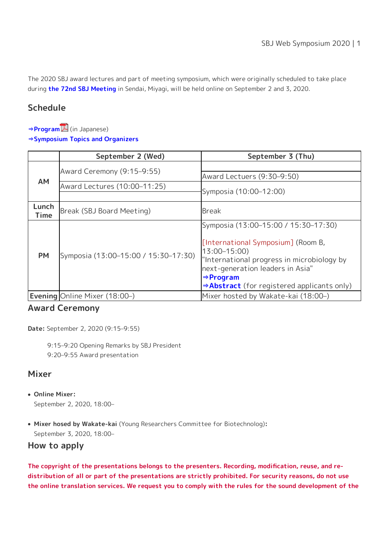The 2020 SBJ award lectures and part of meeting symposium, which were originally scheduled to take place during **[the 72nd SBJ Meeting](https://www.sbj.or.jp/2020/e/)** in Sendai, Miyagi, will be held online on September 2 and 3, 2020.

# **Schedule**

**[⇒Program](https://www.sbj.or.jp/wp-content/uploads/file/meeting/2020web_sympo/Web_sympo2020_program_0827.pdf)** (in Japanese)

**[⇒Symposium Topics and Organizers](https://www.sbj.or.jp/e/event/sbj_web_sympo2020_schedule.html)**

|                      | September 2 (Wed)                    | September 3 (Thu)                                                                                                                                                                                                           |
|----------------------|--------------------------------------|-----------------------------------------------------------------------------------------------------------------------------------------------------------------------------------------------------------------------------|
| <b>AM</b>            | Award Ceremony (9:15-9:55)           |                                                                                                                                                                                                                             |
|                      |                                      | Award Lectuers (9:30-9:50)                                                                                                                                                                                                  |
|                      | Award Lectures (10:00-11:25)         | Symposia (10:00-12:00)                                                                                                                                                                                                      |
|                      |                                      |                                                                                                                                                                                                                             |
| Lunch<br><b>Time</b> | Break (SBJ Board Meeting)            | <b>Break</b>                                                                                                                                                                                                                |
| <b>PM</b>            | Symposia (13:00-15:00 / 15:30-17:30) | Symposia (13:00–15:00 / 15:30–17:30)                                                                                                                                                                                        |
|                      |                                      | [International Symposium] (Room B,<br>$13:00 - 15:00$<br>"International progress in microbiology by<br>next-generation leaders in Asia"<br>$\Rightarrow$ Program<br>$\Rightarrow$ Abstract (for registered applicants only) |
|                      | <b>Evening Online Mixer (18:00-)</b> | Mixer hosted by Wakate-kai (18:00-)                                                                                                                                                                                         |

#### **Award Ceremony**

**Date:** September 2, 2020 (9:15–9:55)

9:15–9:20 Opening Remarks by SBJ President 9:20–9:55 Award presentation

## **Mixer**

- **Online Mixer:** September 2, 2020, 18:00–
- **Mixer hosed by Wakate-kai** (Young Researchers Committee for Biotechnolog)**:** September 3, 2020, 18:00–

#### **How to apply**

**The copyright of the presentations belongs to the presenters. Recording, modification, reuse, and redistribution of all or part of the presentations are strictly prohibited. For security reasons, do not use the online translation services. We request you to comply with the rules for the sound development of the**